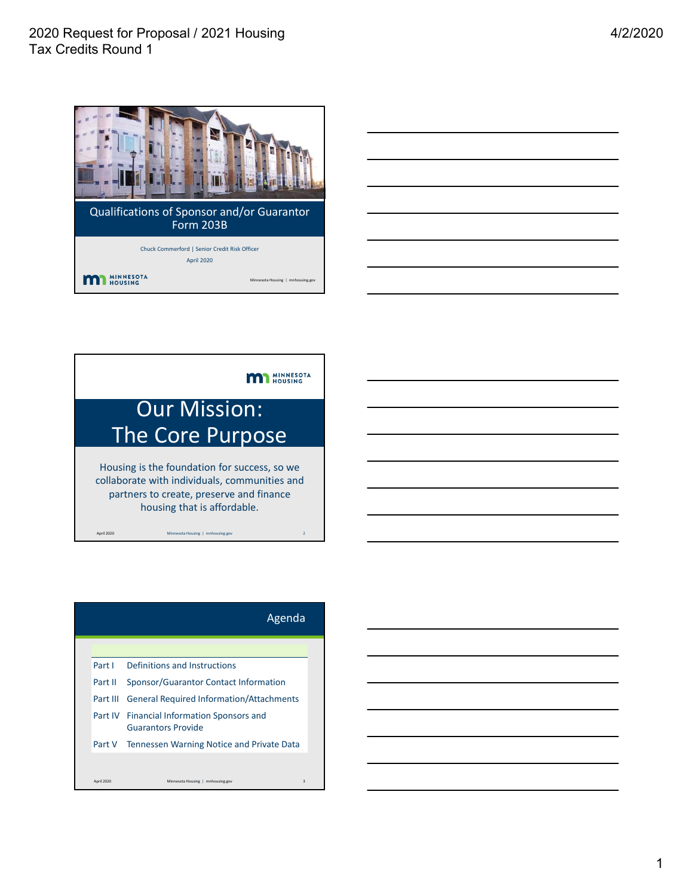



| Part I   | Definitions and Instructions                    |                                                                                                                                               |
|----------|-------------------------------------------------|-----------------------------------------------------------------------------------------------------------------------------------------------|
| Part II  | Sponsor/Guarantor Contact Information           |                                                                                                                                               |
| Part III | <b>General Required Information/Attachments</b> |                                                                                                                                               |
|          | Guarantors Provide                              |                                                                                                                                               |
|          |                                                 |                                                                                                                                               |
|          |                                                 | 3                                                                                                                                             |
|          | April 2020                                      | Agenda<br>Part IV Financial Information Sponsors and<br>Part V Tennessen Warning Notice and Private Data<br>Minnesota Housing   mnhousing.gov |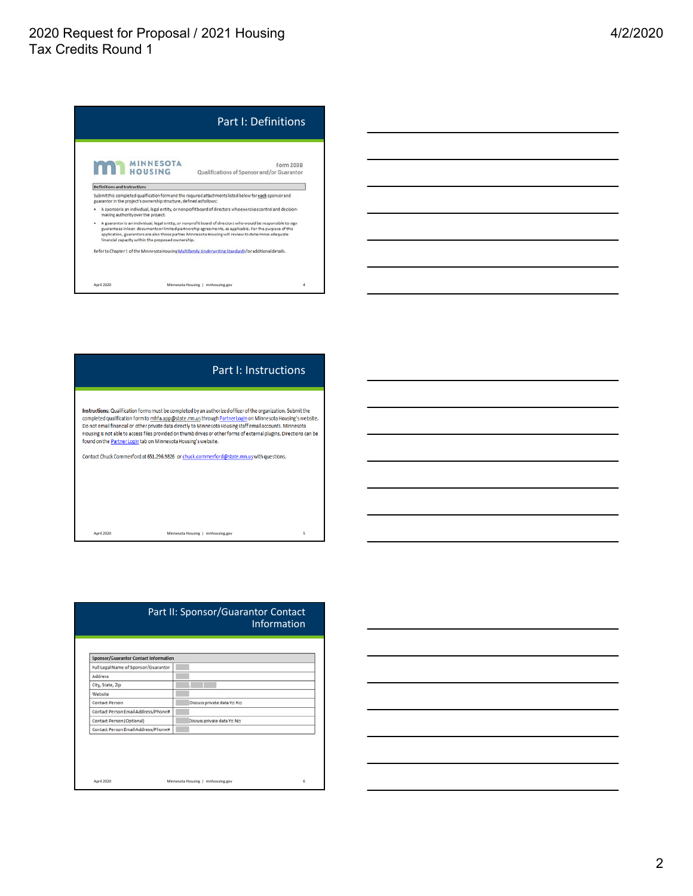# 2020 Request for Proposal / 2021 Housing Tax Credits Round 1

|                              |                                                                     | <b>Part I: Definitions</b>                                                                                                                                                                                                                                                                                                   |
|------------------------------|---------------------------------------------------------------------|------------------------------------------------------------------------------------------------------------------------------------------------------------------------------------------------------------------------------------------------------------------------------------------------------------------------------|
| m                            | <b>MINNESOTA</b><br>HOUSING                                         | Form 203B<br>Qualifications of Sponsor and/or Guarantor                                                                                                                                                                                                                                                                      |
| Definitions and Instructions |                                                                     |                                                                                                                                                                                                                                                                                                                              |
|                              | guarantor in the project's ownership structure, defined as follows: | Submit this completed qualification form and the required attachments listed below for each sponsor and                                                                                                                                                                                                                      |
| ٠                            | making authority over the project.                                  | A sponsor is an individual, legal entity, or nonprofit board of directors who exercises control and decision-                                                                                                                                                                                                                |
| ٠                            | financial capacity within the proposed ownership.                   | A guarantor is an individual, legal entity, or nonprofit board of directors who would be responsible to sign<br>guarantees in loan documents or limited partnership agreements, as applicable. For the purpose of this<br>application, guarantors are also those parties Minnesota Housing will review to determine adequate |
|                              |                                                                     | Refer to Chapter 1 of the Minnesota Housing Multifamily Underwriting Standards for additional details.                                                                                                                                                                                                                       |
|                              |                                                                     |                                                                                                                                                                                                                                                                                                                              |
|                              |                                                                     |                                                                                                                                                                                                                                                                                                                              |



| <b>Sponsor/Guarantor Contact Information</b> |                            |  |  |
|----------------------------------------------|----------------------------|--|--|
| Full Legal Name of Sponsor/Guarantor         |                            |  |  |
| Address                                      |                            |  |  |
| City, State, Zip                             |                            |  |  |
| Website                                      |                            |  |  |
| Contact Person                               | Discuss private data Yo No |  |  |
| Contact Person Email Address/Phone#          |                            |  |  |
| Contact Person (Optional)                    | Discuss private data Yo No |  |  |
| Contact Person Email Address/Phone#          |                            |  |  |

### 4/2/2020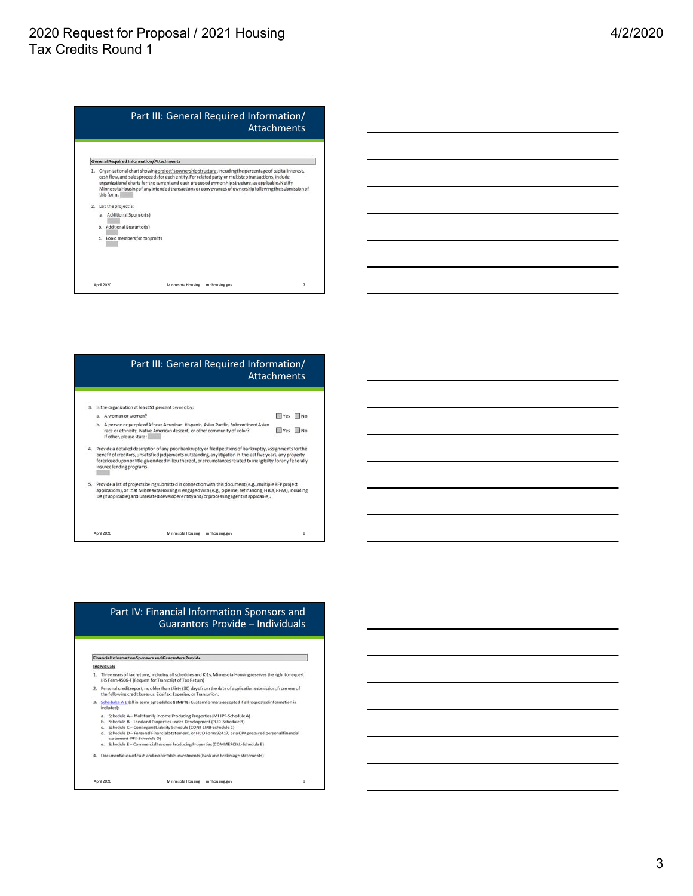## 2020 Request for Proposal / 2021 Housing Tax Credits Round 1



| Is the organization at least S1 percent owned by:<br>A woman or women?<br>b. A person or people of African American, Hispanic, Asian Pacific, Subcontinent Asian | <b>THE Yes III</b> No.                                                                                                  |                                                                                                                                                                                                                                                                                                                                                                                                                                                                                                                                                                                  |
|------------------------------------------------------------------------------------------------------------------------------------------------------------------|-------------------------------------------------------------------------------------------------------------------------|----------------------------------------------------------------------------------------------------------------------------------------------------------------------------------------------------------------------------------------------------------------------------------------------------------------------------------------------------------------------------------------------------------------------------------------------------------------------------------------------------------------------------------------------------------------------------------|
|                                                                                                                                                                  |                                                                                                                         |                                                                                                                                                                                                                                                                                                                                                                                                                                                                                                                                                                                  |
|                                                                                                                                                                  |                                                                                                                         |                                                                                                                                                                                                                                                                                                                                                                                                                                                                                                                                                                                  |
| race or ethnicity, Native American descent, or other community of color?<br>If other, please state:                                                              | <b>Ves</b>                                                                                                              | $\Box$ No                                                                                                                                                                                                                                                                                                                                                                                                                                                                                                                                                                        |
|                                                                                                                                                                  |                                                                                                                         |                                                                                                                                                                                                                                                                                                                                                                                                                                                                                                                                                                                  |
|                                                                                                                                                                  |                                                                                                                         |                                                                                                                                                                                                                                                                                                                                                                                                                                                                                                                                                                                  |
|                                                                                                                                                                  | insured lending programs.<br>D# (if applicable) and unrelated developer entity and/or processing agent (if applicable). | Provide a detailed description of any prior bankruptcy or filed petitions of bankruptcy, assignments for the<br>benefit of creditors, unsatisfied judgements outstanding, any litigation in the last five years, any property<br>foreclosed upon or title given deed in lieu thereof, or circumstances related to ineligibility for any federally<br>5. Provide a list of projects being submitted in connection with this document (e.g., multiple RFP project<br>applications), or that Minnesota Housing is engaged with (e.g., pipeline, refinancing, HTCs, RFAs), including |

### Part IV: Financial Information Sponsors and Guarantors Provide – Individuals

٦

#### Financial Information Sponsors and Guarantors Provide

#### Individuals

- 1. Three years of tax returns, including all schedules and K-1s. Minnesota Housing reserves the right to request<br>IRS Form 4506-T (Request for Transcript of Tax Return)<br>2. Personal credit report, no older than thirty (30)
- 
- 3. Schedules A-E (all in same spreadsheet) (NOTE: Custom formats accepted if all requested information is included):
	-
- 
- 
- m sources<br>
a. Schedule A Multifamily Income Producing Properties (MF IPP-Schedule A)<br>
b. Schedule B Land and Properties under Development (PUD-Schedule C)<br>
c. Schedule C Contingent Liability Schedule (CONT LIAB-Sched
- 
- 4. Documentation of cash and marketable investments (bank and brokerage statements)

April 2020 Minnesota Housing | mnhousing.gov 9